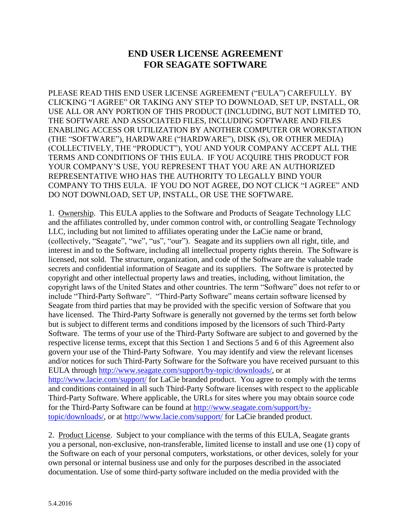## **END USER LICENSE AGREEMENT FOR SEAGATE SOFTWARE**

PLEASE READ THIS END USER LICENSE AGREEMENT ("EULA") CAREFULLY. BY CLICKING "I AGREE" OR TAKING ANY STEP TO DOWNLOAD, SET UP, INSTALL, OR USE ALL OR ANY PORTION OF THIS PRODUCT (INCLUDING, BUT NOT LIMITED TO, THE SOFTWARE AND ASSOCIATED FILES, INCLUDING SOFTWARE AND FILES ENABLING ACCESS OR UTILIZATION BY ANOTHER COMPUTER OR WORKSTATION (THE "SOFTWARE"), HARDWARE ("HARDWARE"), DISK (S), OR OTHER MEDIA) (COLLECTIVELY, THE "PRODUCT"), YOU AND YOUR COMPANY ACCEPT ALL THE TERMS AND CONDITIONS OF THIS EULA. IF YOU ACQUIRE THIS PRODUCT FOR YOUR COMPANY'S USE, YOU REPRESENT THAT YOU ARE AN AUTHORIZED REPRESENTATIVE WHO HAS THE AUTHORITY TO LEGALLY BIND YOUR COMPANY TO THIS EULA. IF YOU DO NOT AGREE, DO NOT CLICK "I AGREE" AND DO NOT DOWNLOAD, SET UP, INSTALL, OR USE THE SOFTWARE.

1. Ownership. This EULA applies to the Software and Products of Seagate Technology LLC and the affiliates controlled by, under common control with, or controlling Seagate Technology LLC, including but not limited to affiliates operating under the LaCie name or brand, (collectively, "Seagate", "we", "us", "our"). Seagate and its suppliers own all right, title, and interest in and to the Software, including all intellectual property rights therein. The Software is licensed, not sold. The structure, organization, and code of the Software are the valuable trade secrets and confidential information of Seagate and its suppliers. The Software is protected by copyright and other intellectual property laws and treaties, including, without limitation, the copyright laws of the United States and other countries. The term "Software" does not refer to or include "Third-Party Software". "Third-Party Software" means certain software licensed by Seagate from third parties that may be provided with the specific version of Software that you have licensed. The Third-Party Software is generally not governed by the terms set forth below but is subject to different terms and conditions imposed by the licensors of such Third-Party Software. The terms of your use of the Third-Party Software are subject to and governed by the respective license terms, except that this Section 1 and Sections 5 and 6 of this Agreement also govern your use of the Third-Party Software. You may identify and view the relevant licenses and/or notices for such Third-Party Software for the Software you have received pursuant to this EULA through [http://www.seagate.com/support/by-topic/downloads/,](http://www.seagate.com/support/by-topic/downloads/) or at <http://www.lacie.com/support/> for LaCie branded product. You agree to comply with the terms and conditions contained in all such Third-Party Software licenses with respect to the applicable Third-Party Software. Where applicable, the URLs for sites where you may obtain source code for the Third-Party Software can be found at [http://www.seagate.com/support/by](http://www.seagate.com/support/by-topic/downloads/)[topic/downloads/,](http://www.seagate.com/support/by-topic/downloads/) or at<http://www.lacie.com/support/> for LaCie branded product.

2. Product License. Subject to your compliance with the terms of this EULA, Seagate grants you a personal, non-exclusive, non-transferable, limited license to install and use one (1) copy of the Software on each of your personal computers, workstations, or other devices, solely for your own personal or internal business use and only for the purposes described in the associated documentation. Use of some third-party software included on the media provided with the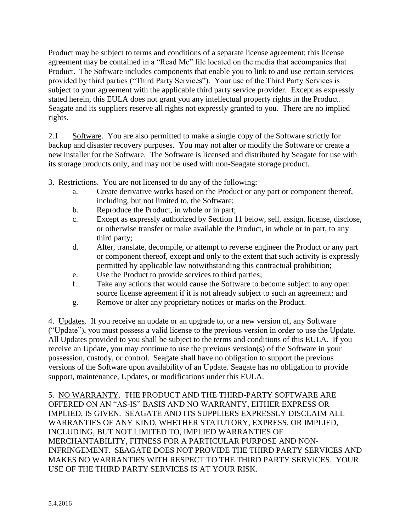Product may be subject to terms and conditions of a separate license agreement; this license agreement may be contained in a "Read Me" file located on the media that accompanies that Product. The Software includes components that enable you to link to and use certain services provided by third parties ("Third Party Services"). Your use of the Third Party Services is subject to your agreement with the applicable third party service provider. Except as expressly stated herein, this EULA does not grant you any intellectual property rights in the Product. Seagate and its suppliers reserve all rights not expressly granted to you. There are no implied rights.

2.1 Software. You are also permitted to make a single copy of the Software strictly for backup and disaster recovery purposes. You may not alter or modify the Software or create a new installer for the Software. The Software is licensed and distributed by Seagate for use with its storage products only, and may not be used with non-Seagate storage product.

- 3. Restrictions. You are not licensed to do any of the following:
	- a. Create derivative works based on the Product or any part or component thereof, including, but not limited to, the Software;
	- b. Reproduce the Product, in whole or in part;
	- c. Except as expressly authorized by Section 11 below, sell, assign, license, disclose, or otherwise transfer or make available the Product, in whole or in part, to any third party;
	- d. Alter, translate, decompile, or attempt to reverse engineer the Product or any part or component thereof, except and only to the extent that such activity is expressly permitted by applicable law notwithstanding this contractual prohibition;
	- e. Use the Product to provide services to third parties;
	- f. Take any actions that would cause the Software to become subject to any open source license agreement if it is not already subject to such an agreement; and
	- g. Remove or alter any proprietary notices or marks on the Product.

4. Updates. If you receive an update or an upgrade to, or a new version of, any Software ("Update"), you must possess a valid license to the previous version in order to use the Update. All Updates provided to you shall be subject to the terms and conditions of this EULA. If you receive an Update, you may continue to use the previous version(s) of the Software in your possession, custody, or control. Seagate shall have no obligation to support the previous versions of the Software upon availability of an Update. Seagate has no obligation to provide support, maintenance, Updates, or modifications under this EULA.

5. NO WARRANTY. THE PRODUCT AND THE THIRD-PARTY SOFTWARE ARE OFFERED ON AN "AS-IS" BASIS AND NO WARRANTY, EITHER EXPRESS OR IMPLIED, IS GIVEN. SEAGATE AND ITS SUPPLIERS EXPRESSLY DISCLAIM ALL WARRANTIES OF ANY KIND, WHETHER STATUTORY, EXPRESS, OR IMPLIED, INCLUDING, BUT NOT LIMITED TO, IMPLIED WARRANTIES OF MERCHANTABILITY, FITNESS FOR A PARTICULAR PURPOSE AND NON-INFRINGEMENT. SEAGATE DOES NOT PROVIDE THE THIRD PARTY SERVICES AND MAKES NO WARRANTIES WITH RESPECT TO THE THIRD PARTY SERVICES. YOUR USE OF THE THIRD PARTY SERVICES IS AT YOUR RISK.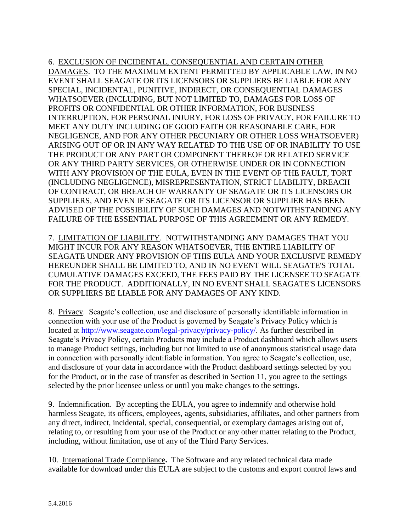6. EXCLUSION OF INCIDENTAL, CONSEQUENTIAL AND CERTAIN OTHER DAMAGES. TO THE MAXIMUM EXTENT PERMITTED BY APPLICABLE LAW, IN NO EVENT SHALL SEAGATE OR ITS LICENSORS OR SUPPLIERS BE LIABLE FOR ANY SPECIAL, INCIDENTAL, PUNITIVE, INDIRECT, OR CONSEQUENTIAL DAMAGES WHATSOEVER (INCLUDING, BUT NOT LIMITED TO, DAMAGES FOR LOSS OF PROFITS OR CONFIDENTIAL OR OTHER INFORMATION, FOR BUSINESS INTERRUPTION, FOR PERSONAL INJURY, FOR LOSS OF PRIVACY, FOR FAILURE TO MEET ANY DUTY INCLUDING OF GOOD FAITH OR REASONABLE CARE, FOR NEGLIGENCE, AND FOR ANY OTHER PECUNIARY OR OTHER LOSS WHATSOEVER) ARISING OUT OF OR IN ANY WAY RELATED TO THE USE OF OR INABILITY TO USE THE PRODUCT OR ANY PART OR COMPONENT THEREOF OR RELATED SERVICE OR ANY THIRD PARTY SERVICES, OR OTHERWISE UNDER OR IN CONNECTION WITH ANY PROVISION OF THE EULA, EVEN IN THE EVENT OF THE FAULT, TORT (INCLUDING NEGLIGENCE), MISREPRESENTATION, STRICT LIABILITY, BREACH OF CONTRACT, OR BREACH OF WARRANTY OF SEAGATE OR ITS LICENSORS OR SUPPLIERS, AND EVEN IF SEAGATE OR ITS LICENSOR OR SUPPLIER HAS BEEN ADVISED OF THE POSSIBILITY OF SUCH DAMAGES AND NOTWITHSTANDING ANY FAILURE OF THE ESSENTIAL PURPOSE OF THIS AGREEMENT OR ANY REMEDY.

7. LIMITATION OF LIABILITY. NOTWITHSTANDING ANY DAMAGES THAT YOU MIGHT INCUR FOR ANY REASON WHATSOEVER, THE ENTIRE LIABILITY OF SEAGATE UNDER ANY PROVISION OF THIS EULA AND YOUR EXCLUSIVE REMEDY HEREUNDER SHALL BE LIMITED TO, AND IN NO EVENT WILL SEAGATE'S TOTAL CUMULATIVE DAMAGES EXCEED, THE FEES PAID BY THE LICENSEE TO SEAGATE FOR THE PRODUCT. ADDITIONALLY, IN NO EVENT SHALL SEAGATE'S LICENSORS OR SUPPLIERS BE LIABLE FOR ANY DAMAGES OF ANY KIND.

8. Privacy. Seagate's collection, use and disclosure of personally identifiable information in connection with your use of the Product is governed by Seagate's Privacy Policy which is located at [http://www.seagate.com/legal-privacy/privacy-policy/.](http://www.seagate.com/legal-privacy/privacy-policy/) As further described in Seagate's Privacy Policy, certain Products may include a Product dashboard which allows users to manage Product settings, including but not limited to use of anonymous statistical usage data in connection with personally identifiable information. You agree to Seagate's collection, use, and disclosure of your data in accordance with the Product dashboard settings selected by you for the Product, or in the case of transfer as described in Section 11, you agree to the settings selected by the prior licensee unless or until you make changes to the settings.

9. Indemnification. By accepting the EULA, you agree to indemnify and otherwise hold harmless Seagate, its officers, employees, agents, subsidiaries, affiliates, and other partners from any direct, indirect, incidental, special, consequential, or exemplary damages arising out of, relating to, or resulting from your use of the Product or any other matter relating to the Product, including, without limitation, use of any of the Third Party Services.

10. International Trade Compliance**.** The Software and any related technical data made available for download under this EULA are subject to the customs and export control laws and